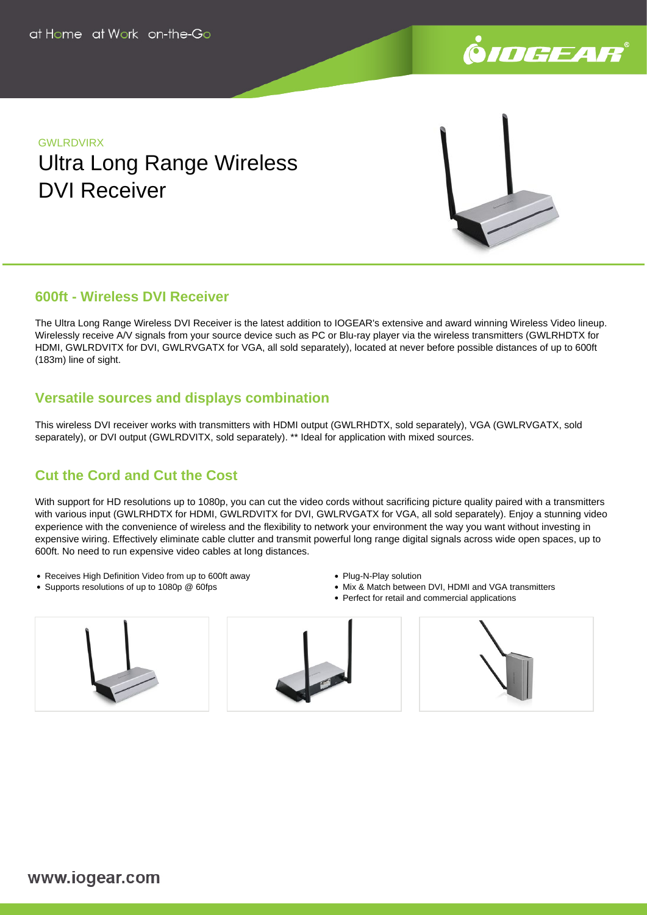

# **GWI RDVIRX** Ultra Long Range Wireless DVI Receiver



### **600ft - Wireless DVI Receiver**

The Ultra Long Range Wireless DVI Receiver is the latest addition to IOGEAR's extensive and award winning Wireless Video lineup. Wirelessly receive A/V signals from your source device such as PC or Blu-ray player via the wireless transmitters (GWLRHDTX for HDMI, GWLRDVITX for DVI, GWLRVGATX for VGA, all sold separately), located at never before possible distances of up to 600ft (183m) line of sight.

## **Versatile sources and displays combination**

This wireless DVI receiver works with transmitters with HDMI output (GWLRHDTX, sold separately), VGA (GWLRVGATX, sold separately), or DVI output (GWLRDVITX, sold separately). \*\* Ideal for application with mixed sources.

## **Cut the Cord and Cut the Cost**

With support for HD resolutions up to 1080p, you can cut the video cords without sacrificing picture quality paired with a transmitters with various input (GWLRHDTX for HDMI, GWLRDVITX for DVI, GWLRVGATX for VGA, all sold separately). Enjoy a stunning video experience with the convenience of wireless and the flexibility to network your environment the way you want without investing in expensive wiring. Effectively eliminate cable clutter and transmit powerful long range digital signals across wide open spaces, up to 600ft. No need to run expensive video cables at long distances.

- Receives High Definition Video from up to 600ft away
- Supports resolutions of up to 1080p @ 60fps
- Plug-N-Play solution
- Mix & Match between DVI, HDMI and VGA transmitters
- Perfect for retail and commercial applications